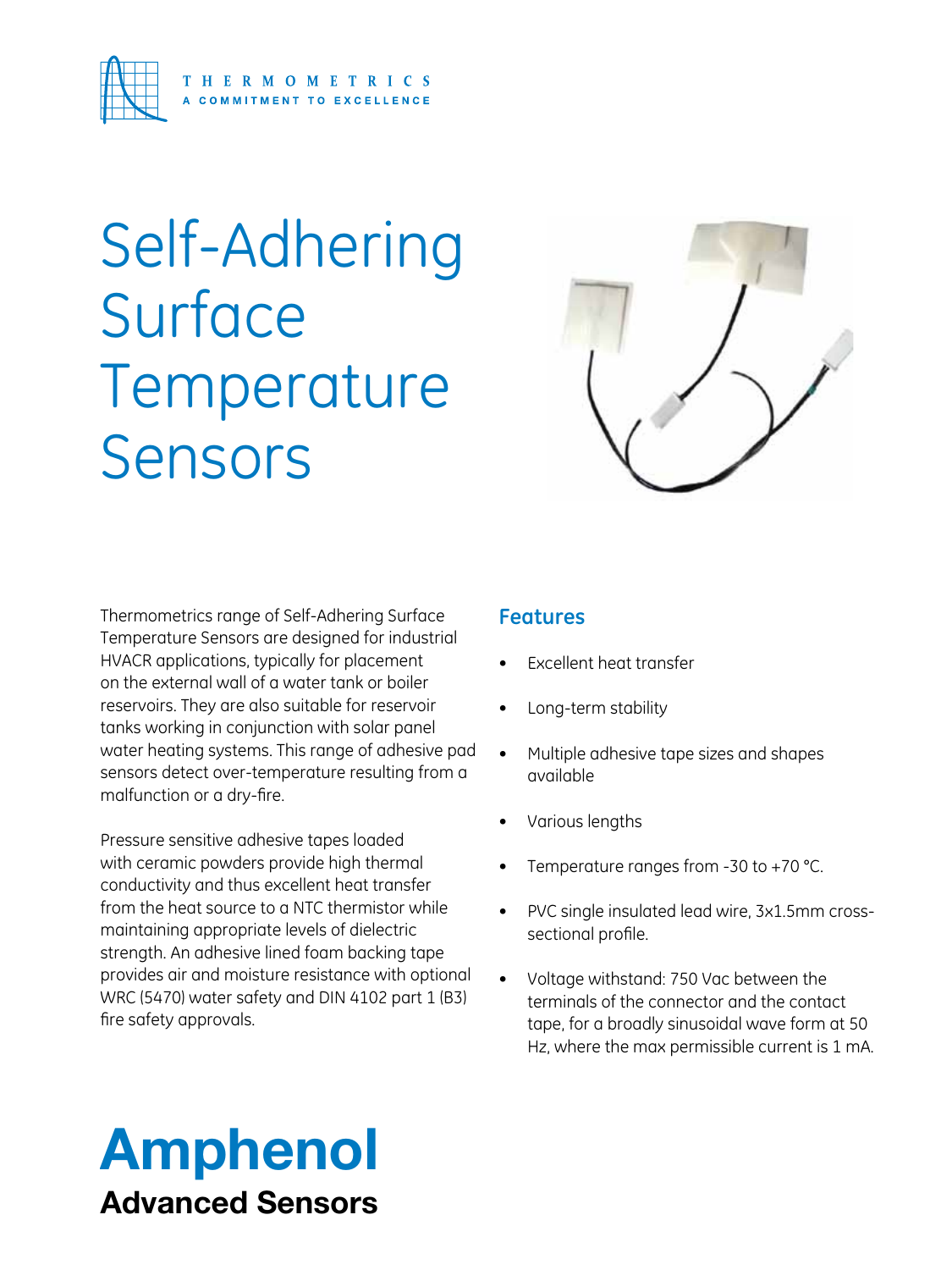

# Self-Adhering **Surface** Temperature Sensors



Thermometrics range of Self-Adhering Surface Temperature Sensors are designed for industrial HVACR applications, typically for placement on the external wall of a water tank or boiler reservoirs. They are also suitable for reservoir tanks working in conjunction with solar panel water heating systems. This range of adhesive pad sensors detect over-temperature resulting from a malfunction or a dry-fire.

Pressure sensitive adhesive tapes loaded with ceramic powders provide high thermal conductivity and thus excellent heat transfer from the heat source to a NTC thermistor while maintaining appropriate levels of dielectric strength. An adhesive lined foam backing tape provides air and moisture resistance with optional WRC (5470) water safety and DIN 4102 part 1 (B3) fire safety approvals.

#### **Features**

- **Excellent heat transfer**
- Long-term stability
- Multiple adhesive tape sizes and shapes available
- Various lengths
- Temperature ranges from -30 to +70  $°C$ .
- PVC single insulated lead wire, 3x1.5mm crosssectional profile.
- Voltage withstand: 750 Vac between the terminals of the connector and the contact tape, for a broadly sinusoidal wave form at 50 Hz, where the max permissible current is 1 mA.

# Amphenol Advanced Sensors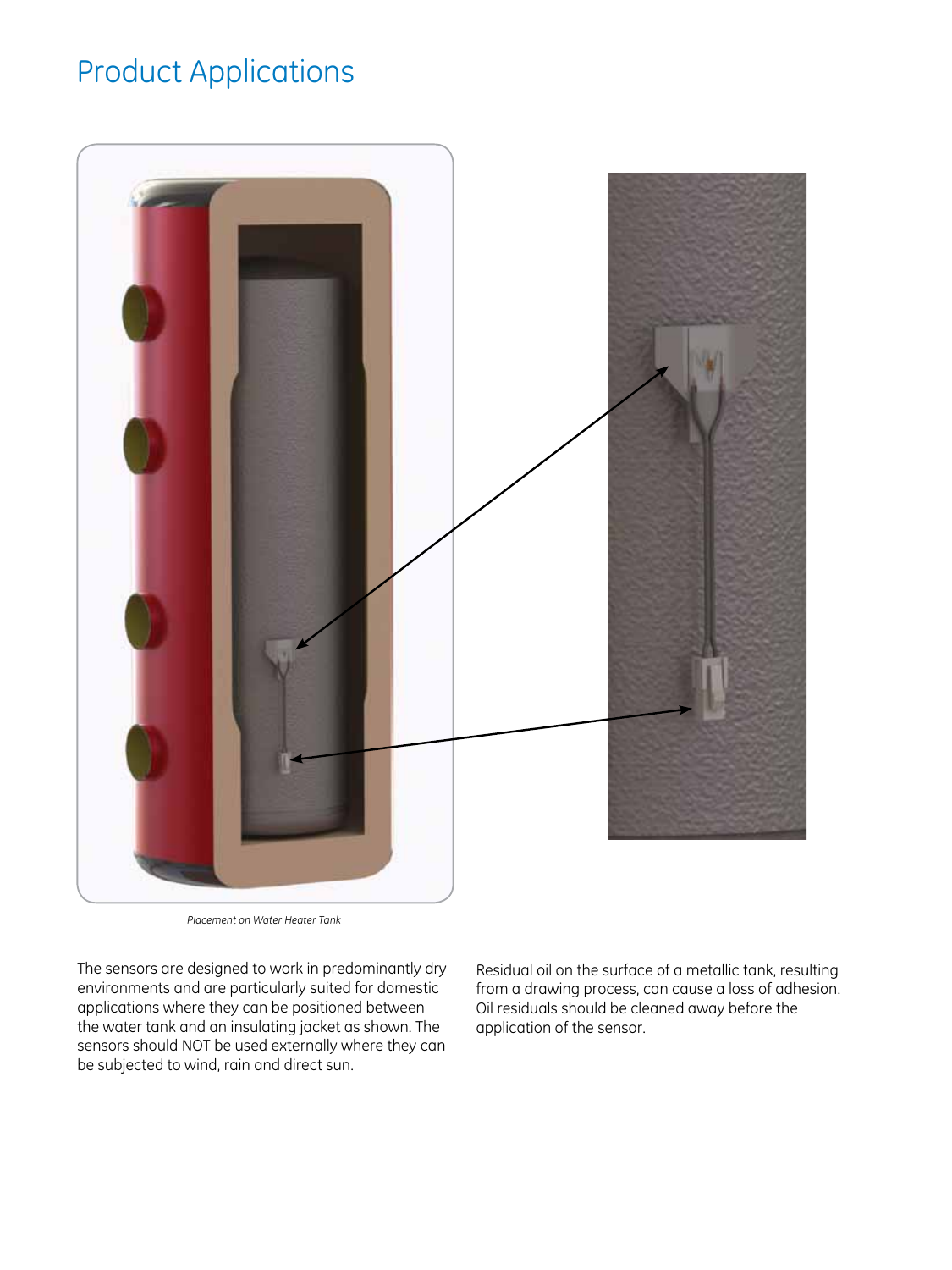#### Product Applications



*Placement on Water Heater Tank*

The sensors are designed to work in predominantly dry environments and are particularly suited for domestic applications where they can be positioned between the water tank and an insulating jacket as shown. The sensors should NOT be used externally where they can be subjected to wind, rain and direct sun.

Residual oil on the surface of a metallic tank, resulting from a drawing process, can cause a loss of adhesion. Oil residuals should be cleaned away before the application of the sensor.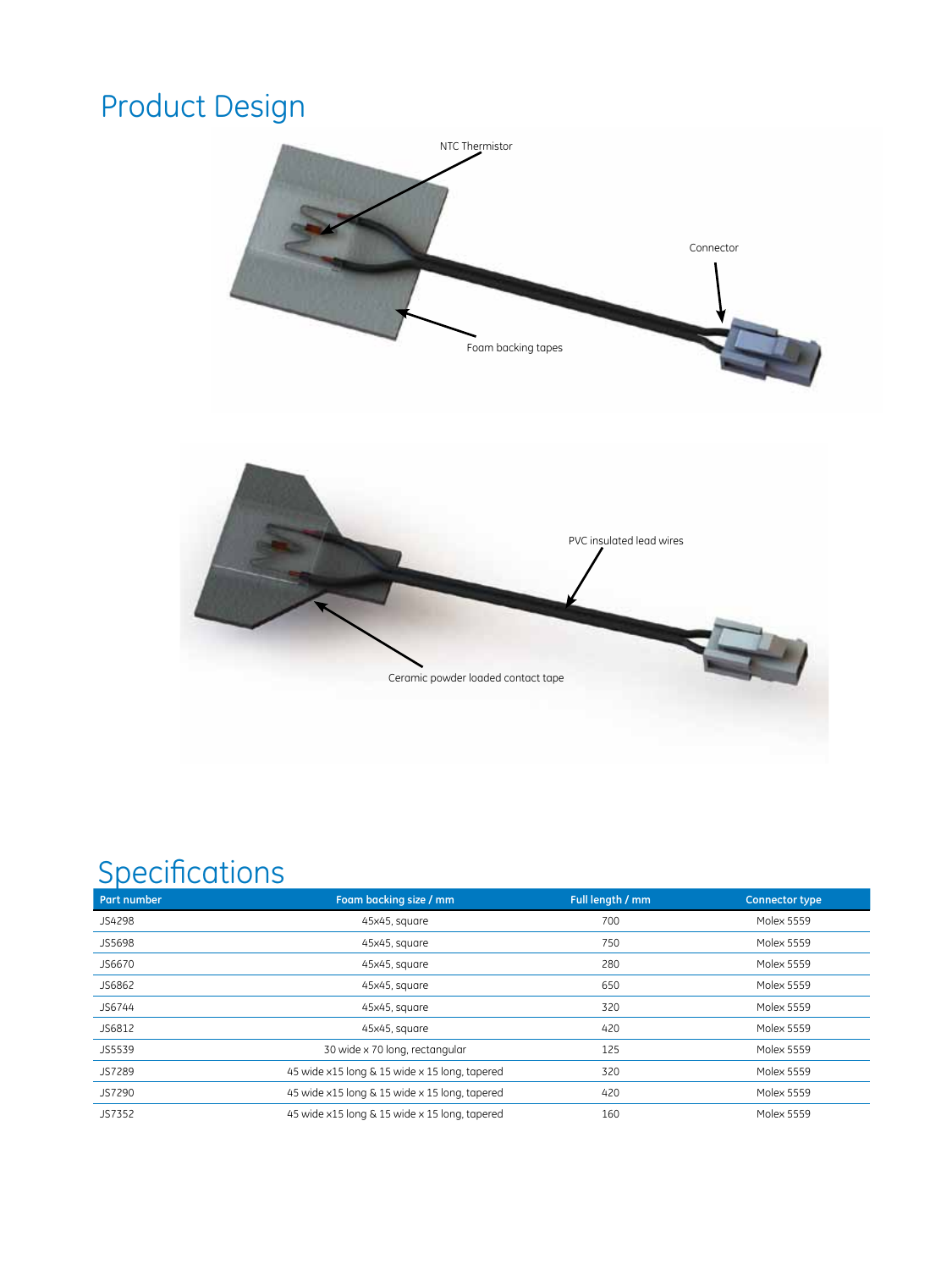### Product Design





#### **Specifications**

| <b>Part number</b> | Foam backing size / mm                        | Full length / mm | <b>Connector type</b> |  |
|--------------------|-----------------------------------------------|------------------|-----------------------|--|
| JS4298             | 45x45, square                                 | 700              | <b>Molex 5559</b>     |  |
| JS5698             | 45x45, square                                 | 750              | <b>Molex 5559</b>     |  |
| JS6670             | 45x45, square                                 | 280              | Molex 5559            |  |
| JS6862             | 45x45, square                                 | 650              | <b>Molex 5559</b>     |  |
| JS6744             | 45x45, square                                 | 320              | <b>Molex 5559</b>     |  |
| JS6812             | 45x45, square                                 | 420              | <b>Molex 5559</b>     |  |
| JS5539             | 30 wide x 70 long, rectangular                | 125              | <b>Molex 5559</b>     |  |
| JS7289             | 45 wide x15 long & 15 wide x 15 long, tapered | 320              | <b>Molex 5559</b>     |  |
| JS7290             | 45 wide x15 long & 15 wide x 15 long, tapered | 420              | <b>Molex 5559</b>     |  |
| JS7352             | 45 wide x15 long & 15 wide x 15 long, tapered | 160              | <b>Molex 5559</b>     |  |